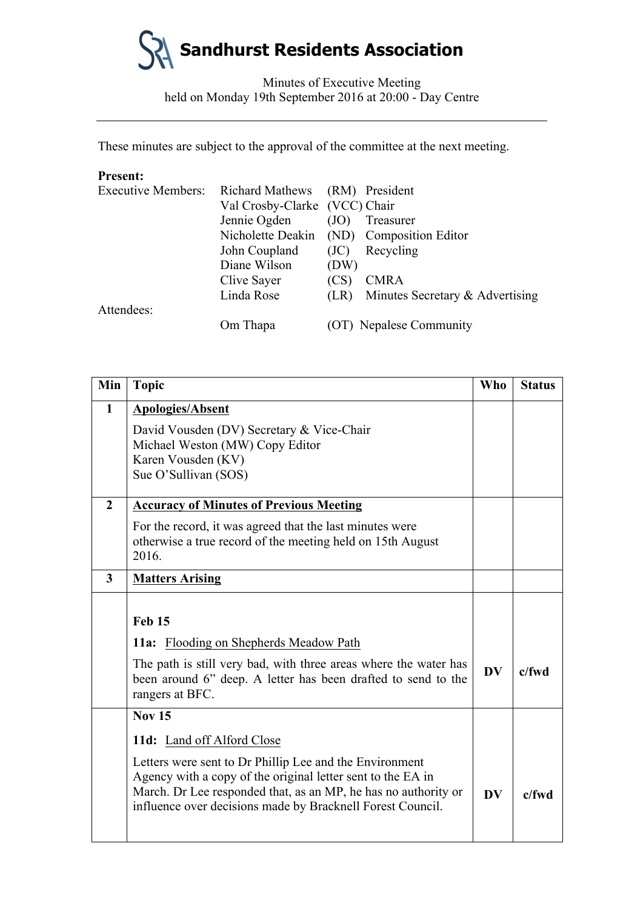

Minutes of Executive Meeting held on Monday 19th September 2016 at 20:00 - Day Centre

These minutes are subject to the approval of the committee at the next meeting.

# **Present:**

| <b>Executive Members:</b> | Richard Mathews (RM) President |      |                                           |
|---------------------------|--------------------------------|------|-------------------------------------------|
|                           | Val Crosby-Clarke (VCC) Chair  |      |                                           |
|                           | Jennie Ogden                   | (JO) | Treasurer                                 |
|                           |                                |      | Nicholette Deakin (ND) Composition Editor |
|                           | John Coupland                  | (JC) | Recycling                                 |
|                           | Diane Wilson                   | (DW) |                                           |
|                           | Clive Sayer                    | (CS) | <b>CMRA</b>                               |
|                           | Linda Rose                     | (LR) | Minutes Secretary & Advertising           |
| Attendees:                |                                |      |                                           |
|                           | Om Thapa                       |      | (OT) Nepalese Community                   |

| Min            | <b>Topic</b>                                                                                                                                                                                                                                           | Who       | <b>Status</b> |
|----------------|--------------------------------------------------------------------------------------------------------------------------------------------------------------------------------------------------------------------------------------------------------|-----------|---------------|
| $\mathbf{1}$   | <b>Apologies/Absent</b>                                                                                                                                                                                                                                |           |               |
|                | David Vousden (DV) Secretary & Vice-Chair<br>Michael Weston (MW) Copy Editor<br>Karen Vousden (KV)<br>Sue O'Sullivan (SOS)                                                                                                                             |           |               |
| $\overline{2}$ | <b>Accuracy of Minutes of Previous Meeting</b>                                                                                                                                                                                                         |           |               |
|                | For the record, it was agreed that the last minutes were<br>otherwise a true record of the meeting held on 15th August<br>2016.                                                                                                                        |           |               |
| $\overline{3}$ | <b>Matters Arising</b>                                                                                                                                                                                                                                 |           |               |
|                | <b>Feb 15</b>                                                                                                                                                                                                                                          |           |               |
|                | <b>11a:</b> Flooding on Shepherds Meadow Path                                                                                                                                                                                                          |           |               |
|                | The path is still very bad, with three areas where the water has<br>been around 6" deep. A letter has been drafted to send to the<br>rangers at BFC.                                                                                                   | <b>DV</b> | $c$ /fwd      |
|                | <b>Nov 15</b>                                                                                                                                                                                                                                          |           |               |
|                | 11d: Land off Alford Close                                                                                                                                                                                                                             |           |               |
|                | Letters were sent to Dr Phillip Lee and the Environment<br>Agency with a copy of the original letter sent to the EA in<br>March. Dr Lee responded that, as an MP, he has no authority or<br>influence over decisions made by Bracknell Forest Council. | <b>DV</b> | $c$ /fwd      |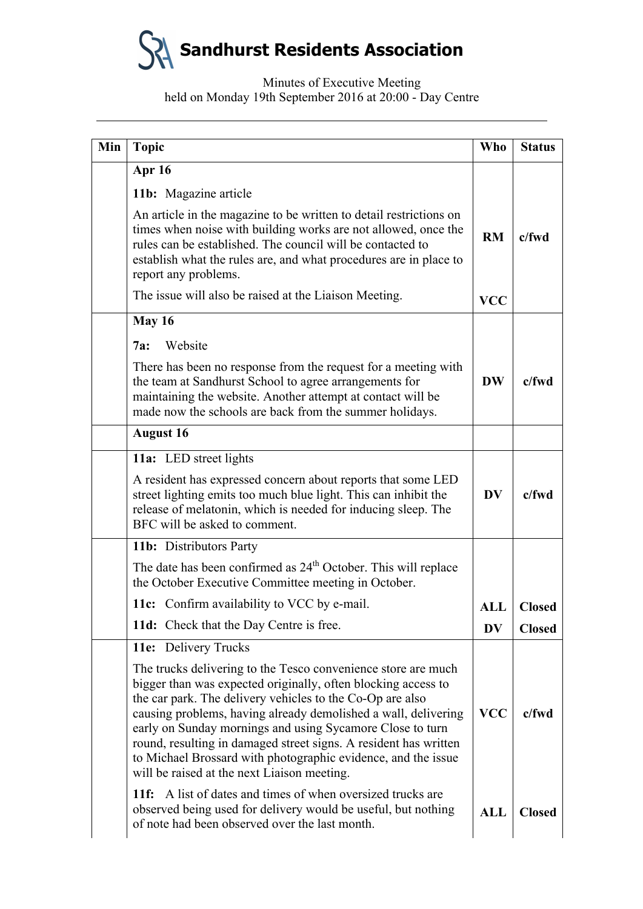| Min | <b>Topic</b>                                                                                                                                                                                                                                                                                                                                                                                                                                                                                                   | <b>Who</b>             | <b>Status</b> |
|-----|----------------------------------------------------------------------------------------------------------------------------------------------------------------------------------------------------------------------------------------------------------------------------------------------------------------------------------------------------------------------------------------------------------------------------------------------------------------------------------------------------------------|------------------------|---------------|
|     | <b>Apr 16</b>                                                                                                                                                                                                                                                                                                                                                                                                                                                                                                  |                        |               |
|     | 11b: Magazine article                                                                                                                                                                                                                                                                                                                                                                                                                                                                                          |                        |               |
|     | An article in the magazine to be written to detail restrictions on<br>times when noise with building works are not allowed, once the<br>rules can be established. The council will be contacted to<br>establish what the rules are, and what procedures are in place to<br>report any problems.                                                                                                                                                                                                                | RM                     | $c$ /fwd      |
|     | The issue will also be raised at the Liaison Meeting.                                                                                                                                                                                                                                                                                                                                                                                                                                                          | <b>VCC</b>             |               |
|     | May 16                                                                                                                                                                                                                                                                                                                                                                                                                                                                                                         |                        |               |
|     | Website<br>7a:                                                                                                                                                                                                                                                                                                                                                                                                                                                                                                 |                        |               |
|     | There has been no response from the request for a meeting with<br>the team at Sandhurst School to agree arrangements for<br>maintaining the website. Another attempt at contact will be<br>made now the schools are back from the summer holidays.                                                                                                                                                                                                                                                             | <b>DW</b>              | $c$ /fwd      |
|     | <b>August 16</b>                                                                                                                                                                                                                                                                                                                                                                                                                                                                                               |                        |               |
|     | 11a: LED street lights                                                                                                                                                                                                                                                                                                                                                                                                                                                                                         |                        |               |
|     | A resident has expressed concern about reports that some LED<br>street lighting emits too much blue light. This can inhibit the<br>release of melatonin, which is needed for inducing sleep. The<br>BFC will be asked to comment.                                                                                                                                                                                                                                                                              | $\mathbf{D}\mathbf{V}$ | $c$ /fwd      |
|     | 11b: Distributors Party                                                                                                                                                                                                                                                                                                                                                                                                                                                                                        |                        |               |
|     | The date has been confirmed as 24 <sup>th</sup> October. This will replace<br>the October Executive Committee meeting in October.                                                                                                                                                                                                                                                                                                                                                                              |                        |               |
|     | 11c: Confirm availability to VCC by e-mail.                                                                                                                                                                                                                                                                                                                                                                                                                                                                    | <b>ALL</b>             | <b>Closed</b> |
|     | 11d: Check that the Day Centre is free.                                                                                                                                                                                                                                                                                                                                                                                                                                                                        | <b>DV</b>              | <b>Closed</b> |
|     | 11e: Delivery Trucks                                                                                                                                                                                                                                                                                                                                                                                                                                                                                           |                        |               |
|     | The trucks delivering to the Tesco convenience store are much<br>bigger than was expected originally, often blocking access to<br>the car park. The delivery vehicles to the Co-Op are also<br>causing problems, having already demolished a wall, delivering<br>early on Sunday mornings and using Sycamore Close to turn<br>round, resulting in damaged street signs. A resident has written<br>to Michael Brossard with photographic evidence, and the issue<br>will be raised at the next Liaison meeting. | <b>VCC</b>             | $c$ /fwd      |
|     | <b>11f:</b> A list of dates and times of when oversized trucks are<br>observed being used for delivery would be useful, but nothing<br>of note had been observed over the last month.                                                                                                                                                                                                                                                                                                                          | <b>ALL</b>             | <b>Closed</b> |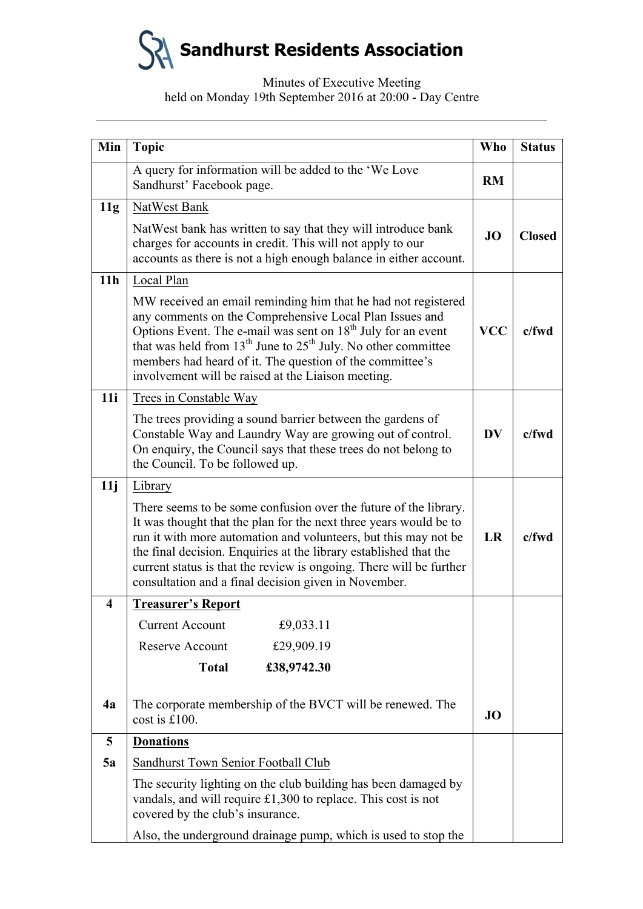| Min                     | <b>Topic</b>                                                                                                                                                                                                                                                                                                                                                                                                    | <b>Who</b> | <b>Status</b> |
|-------------------------|-----------------------------------------------------------------------------------------------------------------------------------------------------------------------------------------------------------------------------------------------------------------------------------------------------------------------------------------------------------------------------------------------------------------|------------|---------------|
|                         | A query for information will be added to the 'We Love<br>Sandhurst' Facebook page.                                                                                                                                                                                                                                                                                                                              | <b>RM</b>  |               |
| 11g                     | NatWest Bank                                                                                                                                                                                                                                                                                                                                                                                                    |            |               |
|                         | NatWest bank has written to say that they will introduce bank<br>charges for accounts in credit. This will not apply to our<br>accounts as there is not a high enough balance in either account.                                                                                                                                                                                                                | <b>JO</b>  | <b>Closed</b> |
| 11h                     | Local Plan                                                                                                                                                                                                                                                                                                                                                                                                      |            |               |
|                         | MW received an email reminding him that he had not registered<br>any comments on the Comprehensive Local Plan Issues and<br>Options Event. The e-mail was sent on 18 <sup>th</sup> July for an event<br>that was held from 13 <sup>th</sup> June to 25 <sup>th</sup> July. No other committee<br>members had heard of it. The question of the committee's<br>involvement will be raised at the Liaison meeting. | <b>VCC</b> | $c$ /fwd      |
| 11i                     | <b>Trees in Constable Way</b>                                                                                                                                                                                                                                                                                                                                                                                   |            |               |
|                         | The trees providing a sound barrier between the gardens of<br>Constable Way and Laundry Way are growing out of control.<br>On enquiry, the Council says that these trees do not belong to<br>the Council. To be followed up.                                                                                                                                                                                    | DV         | $c$ /fwd      |
| 11j                     | Library                                                                                                                                                                                                                                                                                                                                                                                                         |            |               |
|                         | There seems to be some confusion over the future of the library.<br>It was thought that the plan for the next three years would be to<br>run it with more automation and volunteers, but this may not be<br>the final decision. Enquiries at the library established that the<br>current status is that the review is ongoing. There will be further<br>consultation and a final decision given in November.    | LR         | $c$ /fwd      |
| $\overline{\mathbf{4}}$ | <b>Treasurer's Report</b>                                                                                                                                                                                                                                                                                                                                                                                       |            |               |
|                         | <b>Current Account</b><br>£9,033.11                                                                                                                                                                                                                                                                                                                                                                             |            |               |
|                         | Reserve Account<br>£29,909.19                                                                                                                                                                                                                                                                                                                                                                                   |            |               |
|                         | <b>Total</b><br>£38,9742.30                                                                                                                                                                                                                                                                                                                                                                                     |            |               |
| 4a                      | The corporate membership of the BVCT will be renewed. The<br>cost is £100.                                                                                                                                                                                                                                                                                                                                      | <b>JO</b>  |               |
| 5                       | <b>Donations</b>                                                                                                                                                                                                                                                                                                                                                                                                |            |               |
| 5a                      | Sandhurst Town Senior Football Club                                                                                                                                                                                                                                                                                                                                                                             |            |               |
|                         | The security lighting on the club building has been damaged by<br>vandals, and will require £1,300 to replace. This cost is not<br>covered by the club's insurance.                                                                                                                                                                                                                                             |            |               |
|                         | Also, the underground drainage pump, which is used to stop the                                                                                                                                                                                                                                                                                                                                                  |            |               |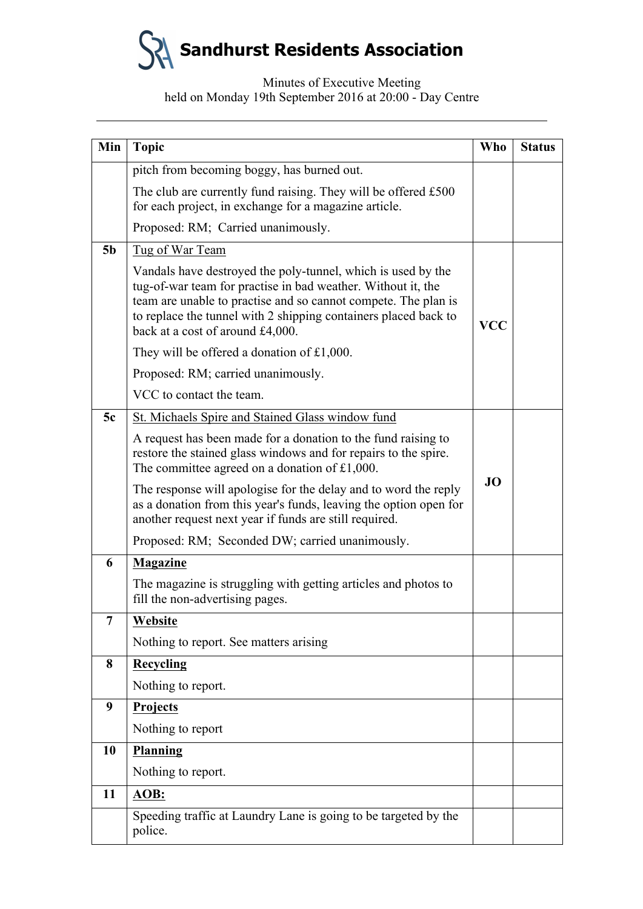| Min            | <b>Topic</b>                                                                                                                                                                                                                                                                                          | Who        | <b>Status</b> |
|----------------|-------------------------------------------------------------------------------------------------------------------------------------------------------------------------------------------------------------------------------------------------------------------------------------------------------|------------|---------------|
|                | pitch from becoming boggy, has burned out.                                                                                                                                                                                                                                                            |            |               |
|                | The club are currently fund raising. They will be offered £500<br>for each project, in exchange for a magazine article.                                                                                                                                                                               |            |               |
|                | Proposed: RM; Carried unanimously.                                                                                                                                                                                                                                                                    |            |               |
| 5 <sub>b</sub> | Tug of War Team                                                                                                                                                                                                                                                                                       |            |               |
|                | Vandals have destroyed the poly-tunnel, which is used by the<br>tug-of-war team for practise in bad weather. Without it, the<br>team are unable to practise and so cannot compete. The plan is<br>to replace the tunnel with 2 shipping containers placed back to<br>back at a cost of around £4,000. | <b>VCC</b> |               |
|                | They will be offered a donation of £1,000.                                                                                                                                                                                                                                                            |            |               |
|                | Proposed: RM; carried unanimously.                                                                                                                                                                                                                                                                    |            |               |
|                | VCC to contact the team.                                                                                                                                                                                                                                                                              |            |               |
| 5c             | St. Michaels Spire and Stained Glass window fund                                                                                                                                                                                                                                                      |            |               |
|                | A request has been made for a donation to the fund raising to<br>restore the stained glass windows and for repairs to the spire.<br>The committee agreed on a donation of $£1,000$ .                                                                                                                  |            |               |
|                | The response will apologise for the delay and to word the reply<br>as a donation from this year's funds, leaving the option open for<br>another request next year if funds are still required.                                                                                                        | <b>JO</b>  |               |
|                | Proposed: RM; Seconded DW; carried unanimously.                                                                                                                                                                                                                                                       |            |               |
| 6              | <b>Magazine</b>                                                                                                                                                                                                                                                                                       |            |               |
|                | The magazine is struggling with getting articles and photos to<br>fill the non-advertising pages.                                                                                                                                                                                                     |            |               |
| 7              | Website                                                                                                                                                                                                                                                                                               |            |               |
|                | Nothing to report. See matters arising                                                                                                                                                                                                                                                                |            |               |
| 8              | <b>Recycling</b>                                                                                                                                                                                                                                                                                      |            |               |
|                | Nothing to report.                                                                                                                                                                                                                                                                                    |            |               |
| 9              | <b>Projects</b>                                                                                                                                                                                                                                                                                       |            |               |
|                | Nothing to report                                                                                                                                                                                                                                                                                     |            |               |
| 10             | Planning                                                                                                                                                                                                                                                                                              |            |               |
|                | Nothing to report.                                                                                                                                                                                                                                                                                    |            |               |
| 11             | AOB:                                                                                                                                                                                                                                                                                                  |            |               |
|                | Speeding traffic at Laundry Lane is going to be targeted by the<br>police.                                                                                                                                                                                                                            |            |               |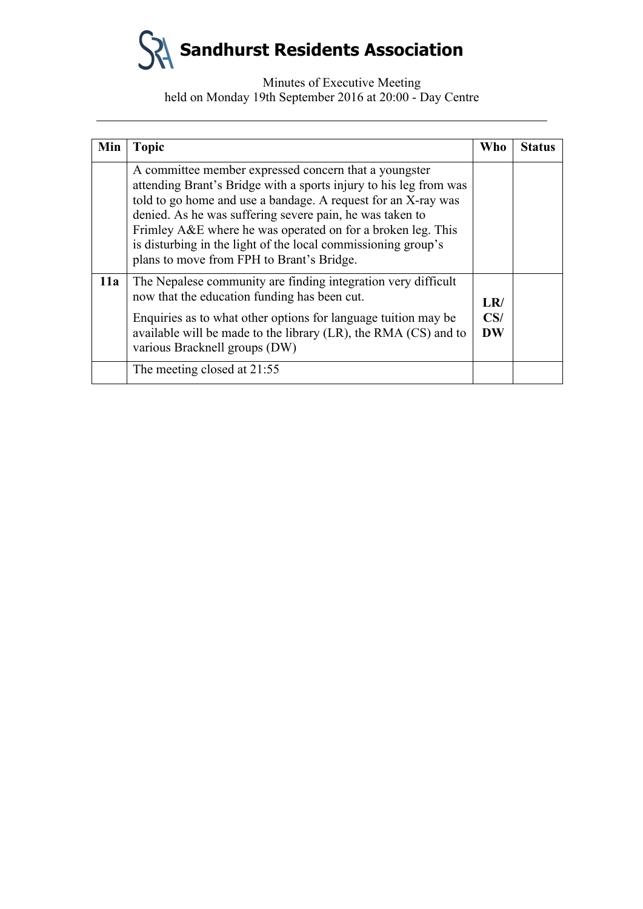| Min | <b>Topic</b>                                                                                                                                                                                                                                                                                                                                                                                                                         | <b>Who</b>              | <b>Status</b> |
|-----|--------------------------------------------------------------------------------------------------------------------------------------------------------------------------------------------------------------------------------------------------------------------------------------------------------------------------------------------------------------------------------------------------------------------------------------|-------------------------|---------------|
|     | A committee member expressed concern that a youngster<br>attending Brant's Bridge with a sports injury to his leg from was<br>told to go home and use a bandage. A request for an X-ray was<br>denied. As he was suffering severe pain, he was taken to<br>Frimley A&E where he was operated on for a broken leg. This<br>is disturbing in the light of the local commissioning group's<br>plans to move from FPH to Brant's Bridge. |                         |               |
| 11a | The Nepalese community are finding integration very difficult<br>now that the education funding has been cut.<br>Enquiries as to what other options for language tuition may be<br>available will be made to the library (LR), the RMA (CS) and to<br>various Bracknell groups (DW)                                                                                                                                                  | LR/<br>CS/<br><b>DW</b> |               |
|     | The meeting closed at 21:55                                                                                                                                                                                                                                                                                                                                                                                                          |                         |               |